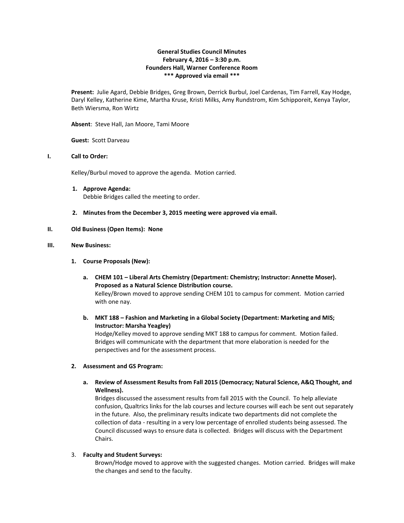## **General Studies Council Minutes February 4, 2016 – 3:30 p.m. Founders Hall, Warner Conference Room \*\*\* Approved via email \*\*\***

**Present:** Julie Agard, Debbie Bridges, Greg Brown, Derrick Burbul, Joel Cardenas, Tim Farrell, Kay Hodge, Daryl Kelley, Katherine Kime, Martha Kruse, Kristi Milks, Amy Rundstrom, Kim Schipporeit, Kenya Taylor, Beth Wiersma, Ron Wirtz

**Absent**: Steve Hall, Jan Moore, Tami Moore

**Guest:** Scott Darveau

### **I. Call to Order:**

Kelley/Burbul moved to approve the agenda. Motion carried.

- **1. Approve Agenda:** Debbie Bridges called the meeting to order.
- **2. Minutes from the December 3, 2015 meeting were approved via email.**

## **II. Old Business (Open Items): None**

### **III. New Business:**

## **1. Course Proposals (New):**

- **a. CHEM 101 – Liberal Arts Chemistry (Department: Chemistry; Instructor: Annette Moser). Proposed as a Natural Science Distribution course.**  Kelley/Brown moved to approve sending CHEM 101 to campus for comment. Motion carried with one nay.
- **b. MKT 188 – Fashion and Marketing in a Global Society (Department: Marketing and MIS; Instructor: Marsha Yeagley)**

Hodge/Kelley moved to approve sending MKT 188 to campus for comment. Motion failed. Bridges will communicate with the department that more elaboration is needed for the perspectives and for the assessment process.

#### **2. Assessment and GS Program:**

**a. Review of Assessment Results from Fall 2015 (Democracy; Natural Science, A&Q Thought, and Wellness).**

Bridges discussed the assessment results from fall 2015 with the Council. To help alleviate confusion, Qualtrics links for the lab courses and lecture courses will each be sent out separately in the future. Also, the preliminary results indicate two departments did not complete the collection of data - resulting in a very low percentage of enrolled students being assessed. The Council discussed ways to ensure data is collected. Bridges will discuss with the Department Chairs.

#### 3. **Faculty and Student Surveys:**

Brown/Hodge moved to approve with the suggested changes. Motion carried. Bridges will make the changes and send to the faculty.